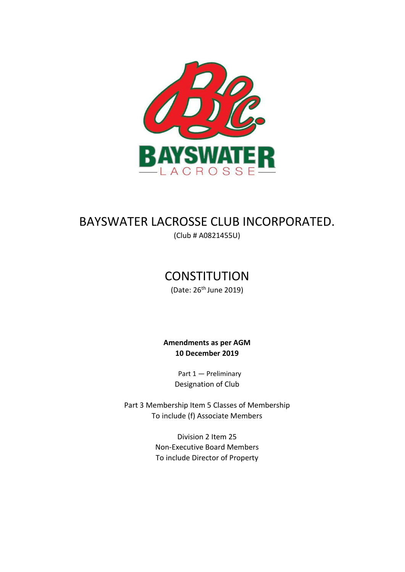

# BAYSWATER LACROSSE CLUB INCORPORATED.

(Club # A0821455U)

## **CONSTITUTION**

(Date: 26th June 2019)

## **Amendments as per AGM 10 December 2019**

Part 1 — Preliminary Designation of Club

Part 3 Membership Item 5 Classes of Membership To include (f) Associate Members

> Division 2 Item 25 Non-Executive Board Members To include Director of Property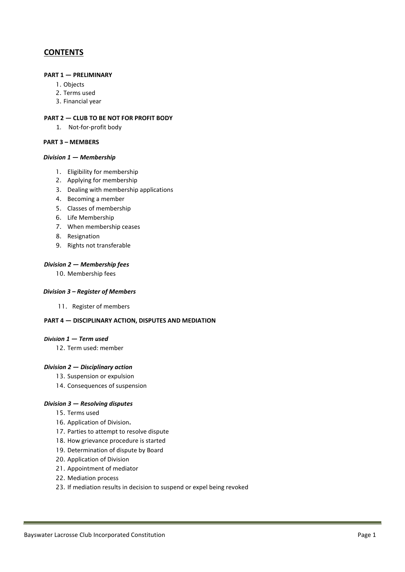## **CONTENTS**

#### **PART 1 — PRELIMINARY**

- 1. Objects
- 2. Terms used
- 3. Financial year

#### **PART 2 — CLUB TO BE NOT FOR PROFIT BODY**

1. Not-for-profit body

#### **PART 3 – MEMBERS**

#### *Division 1 — Membership*

- 1. Eligibility for membership
- 2. Applying for membership
- 3. Dealing with membership applications
- 4. Becoming a member
- 5. Classes of membership
- 6. Life Membership
- 7. When membership ceases
- 8. Resignation
- 9. Rights not transferable

#### *Division 2 — Membership fees*

10. Membership fees

#### *Division 3 – Register of Members*

11. Register of members

#### **PART 4 — DISCIPLINARY ACTION, DISPUTES AND MEDIATION**

#### *Division 1 — Term used*

12. Term used: member

#### *Division 2 — Disciplinary action*

- 13. Suspension or expulsion
- 14. Consequences of suspension

#### *Division 3 — Resolving disputes*

- 15. Terms used
- 16. Application of Division**.**
- 17. Parties to attempt to resolve dispute
- 18. How grievance procedure is started
- 19. Determination of dispute by Board
- 20. Application of Division
- 21. Appointment of mediator
- 22. Mediation process
- 23. If mediation results in decision to suspend or expel being revoked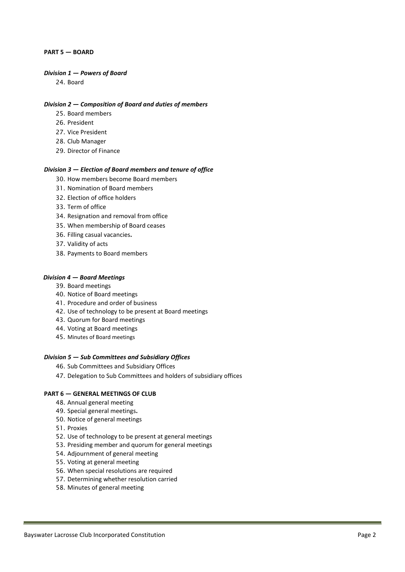#### **PART 5 — BOARD**

#### *Division 1 — Powers of Board*

24. Board

#### *Division 2 — Composition of Board and duties of members*

- 25. Board members
- 26. President
- 27. Vice President
- 28. Club Manager
- 29. Director of Finance

#### *Division 3 — Election of Board members and tenure of office*

- 30. How members become Board members
- 31. Nomination of Board members
- 32. Election of office holders
- 33. Term of office
- 34. Resignation and removal from office
- 35. When membership of Board ceases
- 36. Filling casual vacancies**.**
- 37. Validity of acts
- 38. Payments to Board members

#### *Division 4 — Board Meetings*

- 39. Board meetings
- 40. Notice of Board meetings
- 41. Procedure and order of business
- 42. Use of technology to be present at Board meetings
- 43. Quorum for Board meetings
- 44. Voting at Board meetings
- 45. Minutes of Board meetings

#### *Division 5 — Sub Committees and Subsidiary Offices*

- 46. Sub Committees and Subsidiary Offices
- 47. Delegation to Sub Committees and holders of subsidiary offices

#### **PART 6 — GENERAL MEETINGS OF CLUB**

- 48. Annual general meeting
- 49. Special general meetings**.**
- 50. Notice of general meetings
- 51. Proxies
- 52. Use of technology to be present at general meetings
- 53. Presiding member and quorum for general meetings
- 54. Adjournment of general meeting
- 55. Voting at general meeting
- 56. When special resolutions are required
- 57. Determining whether resolution carried
- 58. Minutes of general meeting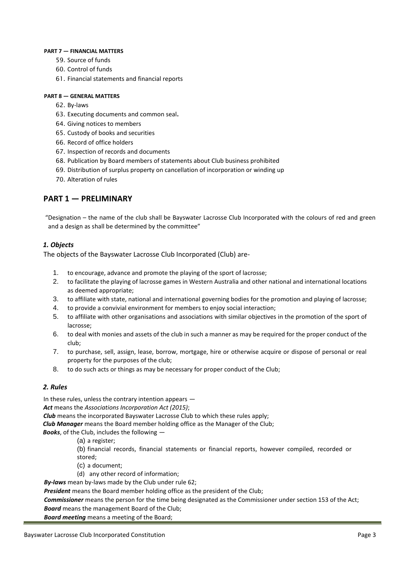#### **PART 7 — FINANCIAL MATTERS**

- 59. Source of funds
- 60. Control of funds
- 61. Financial statements and financial reports

#### **PART 8 — GENERAL MATTERS**

- 62. By-laws
- 63. Executing documents and common seal**.**
- 64. Giving notices to members
- 65. Custody of books and securities
- 66. Record of office holders
- 67. Inspection of records and documents
- 68. Publication by Board members of statements about Club business prohibited
- 69. Distribution of surplus property on cancellation of incorporation or winding up
- 70. Alteration of rules

## **PART 1 — PRELIMINARY**

"Designation – the name of the club shall be Bayswater Lacrosse Club Incorporated with the colours of red and green and a design as shall be determined by the committee"

#### *1. Objects*

The objects of the Bayswater Lacrosse Club Incorporated (Club) are-

- 1. to encourage, advance and promote the playing of the sport of lacrosse;
- 2. to facilitate the playing of lacrosse games in Western Australia and other national and international locations as deemed appropriate;
- 3. to affiliate with state, national and international governing bodies for the promotion and playing of lacrosse;
- 4. to provide a convivial environment for members to enjoy social interaction;
- 5. to affiliate with other organisations and associations with similar objectives in the promotion of the sport of lacrosse;
- 6. to deal with monies and assets of the club in such a manner as may be required for the proper conduct of the club;
- 7. to purchase, sell, assign, lease, borrow, mortgage, hire or otherwise acquire or dispose of personal or real property for the purposes of the club;
- 8. to do such acts or things as may be necessary for proper conduct of the Club;

#### *2. Rules*

In these rules, unless the contrary intention appears —

*Act* means the *Associations Incorporation Act (2015)*;

*Club* means the incorporated Bayswater Lacrosse Club to which these rules apply;

*Club Manager* means the Board member holding office as the Manager of the Club;

*Books*, of the Club, includes the following —

(a) a register;

(b) financial records, financial statements or financial reports, however compiled, recorded or stored;

- (c) a document;
- (d) any other record of information;

*By-laws* mean by-laws made by the Club under rule 62;

*President* means the Board member holding office as the president of the Club;

*Commissioner* means the person for the time being designated as the Commissioner under section 153 of the Act; *Board* means the management Board of the Club;

*Board meeting* means a meeting of the Board;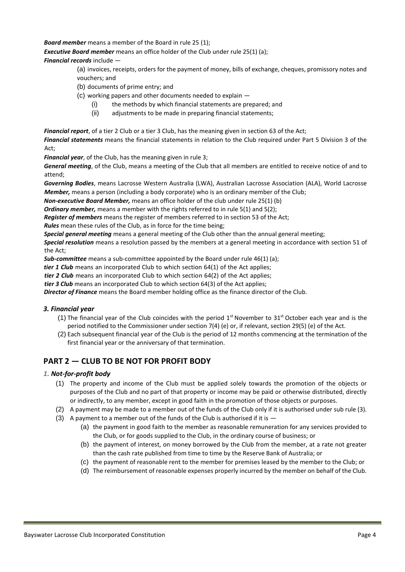*Board member* means a member of the Board in rule 25 (1);

*Executive Board member* means an office holder of the Club under rule 25(1) (a);

*Financial records* include —

(a) invoices, receipts, orders for the payment of money, bills of exchange, cheques, promissory notes and vouchers; and

- (b) documents of prime entry; and
- (c) working papers and other documents needed to explain
	- (i) the methods by which financial statements are prepared; and
	- (ii) adjustments to be made in preparing financial statements;

*Financial report*, of a tier 2 Club or a tier 3 Club, has the meaning given in section 63 of the Act;

*Financial statements* means the financial statements in relation to the Club required under Part 5 Division 3 of the Act;

*Financial year*, of the Club, has the meaning given in rule 3;

*General meeting*, of the Club, means a meeting of the Club that all members are entitled to receive notice of and to attend;

*Governing Bodies*, means Lacrosse Western Australia (LWA), Australian Lacrosse Association (ALA), World Lacrosse *Member,* means a person (including a body corporate) who is an ordinary member of the Club;

*Non-executive Board Member,* means an office holder of the club under rule 25(1) (b)

*Ordinary member,* means a member with the rights referred to in rule 5(1) and 5(2);

*Register of members* means the register of members referred to in section 53 of the Act;

*Rules* mean these rules of the Club, as in force for the time being;

*Special general meeting* means a general meeting of the Club other than the annual general meeting;

*Special resolution* means a resolution passed by the members at a general meeting in accordance with section 51 of the Act;

*Sub-committee* means a sub-committee appointed by the Board under rule 46(1) (a);

*tier 1 Club* means an incorporated Club to which section 64(1) of the Act applies;

*tier 2 Club* means an incorporated Club to which section 64(2) of the Act applies;

*tier 3 Club* means an incorporated Club to which section 64(3) of the Act applies;

*Director of Finance* means the Board member holding office as the finance director of the Club.

#### *3. Financial year*

- (1) The financial year of the Club coincides with the period  $1<sup>st</sup>$  November to 31<sup>st</sup> October each year and is the period notified to the Commissioner under section 7(4) (e) or, if relevant, section 29(5) (e) of the Act.
- (2) Each subsequent financial year of the Club is the period of 12 months commencing at the termination of the first financial year or the anniversary of that termination.

## **PART 2 — CLUB TO BE NOT FOR PROFIT BODY**

#### *1. Not-for-profit body*

- (1) The property and income of the Club must be applied solely towards the promotion of the objects or purposes of the Club and no part of that property or income may be paid or otherwise distributed, directly or indirectly, to any member, except in good faith in the promotion of those objects or purposes.
- (2) A payment may be made to a member out of the funds of the Club only if it is authorised under sub rule (3).
- (3) A payment to a member out of the funds of the Club is authorised if it is  $-$ 
	- (a) the payment in good faith to the member as reasonable remuneration for any services provided to the Club, or for goods supplied to the Club, in the ordinary course of business; or
	- (b) the payment of interest, on money borrowed by the Club from the member, at a rate not greater than the cash rate published from time to time by the Reserve Bank of Australia; or
	- (c) the payment of reasonable rent to the member for premises leased by the member to the Club; or
	- (d) The reimbursement of reasonable expenses properly incurred by the member on behalf of the Club.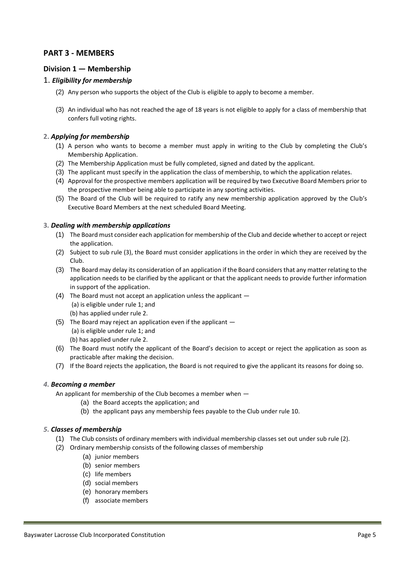## **PART 3 - MEMBERS**

#### **Division 1 — Membership**

#### 1. *Eligibility for membership*

- (2) Any person who supports the object of the Club is eligible to apply to become a member.
- (3) An individual who has not reached the age of 18 years is not eligible to apply for a class of membership that confers full voting rights.

#### **2.** *Applying for membership*

- (1) A person who wants to become a member must apply in writing to the Club by completing the Club's Membership Application.
- (2) The Membership Application must be fully completed, signed and dated by the applicant.
- (3) The applicant must specify in the application the class of membership, to which the application relates.
- (4) Approval for the prospective members application will be required by two Executive Board Members prior to the prospective member being able to participate in any sporting activities.
- (5) The Board of the Club will be required to ratify any new membership application approved by the Club's Executive Board Members at the next scheduled Board Meeting.

#### **3***. Dealing with membership applications*

- (1) The Board must consider each application for membership of the Club and decide whether to accept or reject the application.
- (2) Subject to sub rule (3), the Board must consider applications in the order in which they are received by the Club.
- (3) The Board may delay its consideration of an application if the Board considers that any matter relating to the application needs to be clarified by the applicant or that the applicant needs to provide further information in support of the application.
- (4) The Board must not accept an application unless the applicant (a) is eligible under rule 1; and (b) has applied under rule 2.
- (5) The Board may reject an application even if the applicant (a) is eligible under rule 1; and (b) has applied under rule 2.
- (6) The Board must notify the applicant of the Board's decision to accept or reject the application as soon as practicable after making the decision.
- (7) If the Board rejects the application, the Board is not required to give the applicant its reasons for doing so.

#### *4. Becoming a member*

An applicant for membership of the Club becomes a member when —

- (a) the Board accepts the application; and
- (b) the applicant pays any membership fees payable to the Club under rule 10.

#### *5. Classes of membership*

- (1) The Club consists of ordinary members with individual membership classes set out under sub rule (2).
- (2) Ordinary membership consists of the following classes of membership
	- (a) junior members
	- (b) senior members
	- (c) life members
	- (d) social members
	- (e) honorary members
	- (f) associate members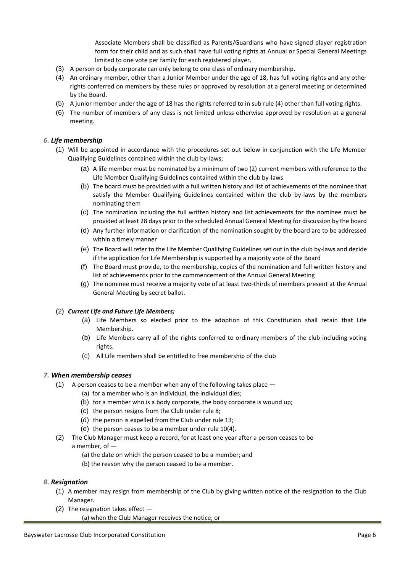Associate Members shall be classified as Parents/Guardians who have signed player registration form for their child and as such shall have full voting rights at Annual or Special General Meetings limited to one vote per family for each registered player.

- (3) A person or body corporate can only belong to one class of ordinary membership.
- (4) An ordinary member, other than a Junior Member under the age of 18, has full voting rights and any other rights conferred on members by these rules or approved by resolution at a general meeting or determined by the Board.
- (5) A junior member under the age of 18 has the rights referred to in sub rule (4) other than full voting rights.
- (6) The number of members of any class is not limited unless otherwise approved by resolution at a general meeting.

#### *6. Life membership*

- (1) Will be appointed in accordance with the procedures set out below in conjunction with the Life Member Qualifying Guidelines contained within the club by-laws;
	- (a) A life member must be nominated by a minimum of two (2) current members with reference to the Life Member Qualifying Guidelines contained within the club by-laws
	- (b) The board must be provided with a full written history and list of achievements of the nominee that satisfy the Member Qualifying Guidelines contained within the club by-laws by the members nominating them
	- (c) The nomination including the full written history and list achievements for the nominee must be provided at least 28 days prior to the scheduled Annual General Meeting for discussion by the board
	- (d) Any further information or clarification of the nomination sought by the board are to be addressed within a timely manner
	- (e) The Board will refer to the Life Member Qualifying Guidelines set out in the club by-laws and decide if the application for Life Membership is supported by a majority vote of the Board
	- (f) The Board must provide, to the membership, copies of the nomination and full written history and list of achievements prior to the commencement of the Annual General Meeting
	- (g) The nominee must receive a majority vote of at least two-thirds of members present at the Annual General Meeting by secret ballot.

#### (2) *Current Life and Future Life Members;*

- (a) Life Members so elected prior to the adoption of this Constitution shall retain that Life Membership.
- (b) Life Members carry all of the rights conferred to ordinary members of the club including voting rights.
- (c) All Life members shall be entitled to free membership of the club

#### *7. When membership ceases*

- (1) A person ceases to be a member when any of the following takes place  $-$ 
	- (a) for a member who is an individual, the individual dies;
	- (b) for a member who is a body corporate, the body corporate is wound up;
	- (c) the person resigns from the Club under rule 8;
	- (d) the person is expelled from the Club under rule 13;
	- (e) the person ceases to be a member under rule 10(4).
- (2) The Club Manager must keep a record, for at least one year after a person ceases to be a member, of —
	- (a) the date on which the person ceased to be a member; and
	- (b) the reason why the person ceased to be a member.

#### *8. Resignation*

- (1) A member may resign from membership of the Club by giving written notice of the resignation to the Club Manager.
- (2) The resignation takes effect  $-$ (a) when the Club Manager receives the notice; or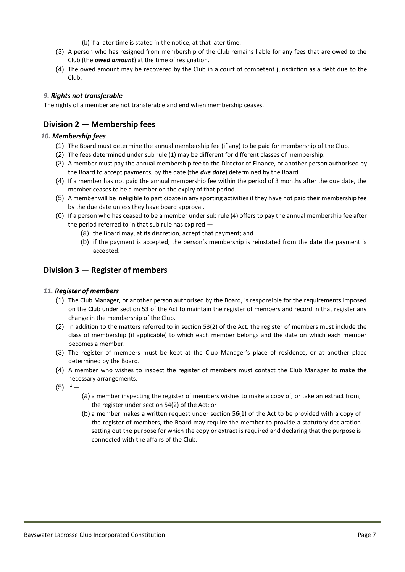(b) if a later time is stated in the notice, at that later time.

- (3) A person who has resigned from membership of the Club remains liable for any fees that are owed to the Club (the *owed amount*) at the time of resignation.
- (4) The owed amount may be recovered by the Club in a court of competent jurisdiction as a debt due to the Club.

#### *9. Rights not transferable*

The rights of a member are not transferable and end when membership ceases.

## **Division 2 — Membership fees**

#### *10. Membership fees*

- (1) The Board must determine the annual membership fee (if any) to be paid for membership of the Club.
- (2) The fees determined under sub rule (1) may be different for different classes of membership.
- (3) A member must pay the annual membership fee to the Director of Finance, or another person authorised by the Board to accept payments, by the date (the *due date*) determined by the Board.
- (4) If a member has not paid the annual membership fee within the period of 3 months after the due date, the member ceases to be a member on the expiry of that period.
- (5) A member will be ineligible to participate in any sporting activities if they have not paid their membership fee by the due date unless they have board approval.
- (6) If a person who has ceased to be a member under sub rule (4) offers to pay the annual membership fee after the period referred to in that sub rule has expired —
	- (a) the Board may, at its discretion, accept that payment; and
	- (b) if the payment is accepted, the person's membership is reinstated from the date the payment is accepted.

## **Division 3 — Register of members**

#### *11. Register of members*

- (1) The Club Manager, or another person authorised by the Board, is responsible for the requirements imposed on the Club under section 53 of the Act to maintain the register of members and record in that register any change in the membership of the Club.
- (2) In addition to the matters referred to in section 53(2) of the Act, the register of members must include the class of membership (if applicable) to which each member belongs and the date on which each member becomes a member.
- (3) The register of members must be kept at the Club Manager's place of residence, or at another place determined by the Board.
- (4) A member who wishes to inspect the register of members must contact the Club Manager to make the necessary arrangements.
- $(5)$  If  $-$ 
	- (a) a member inspecting the register of members wishes to make a copy of, or take an extract from, the register under section 54(2) of the Act; or
	- (b) a member makes a written request under section 56(1) of the Act to be provided with a copy of the register of members, the Board may require the member to provide a statutory declaration setting out the purpose for which the copy or extract is required and declaring that the purpose is connected with the affairs of the Club.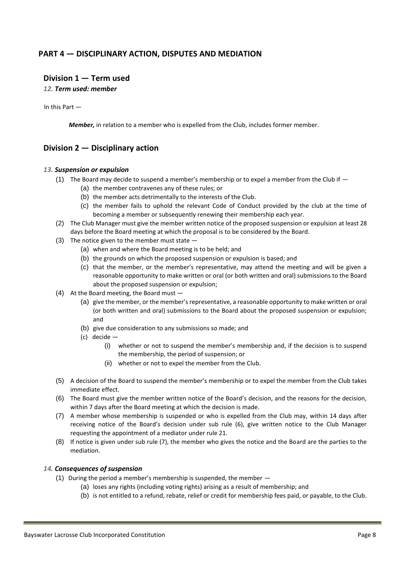## **PART 4 — DISCIPLINARY ACTION, DISPUTES AND MEDIATION**

#### **Division 1 — Term used**

*12. Term used: member* 

In this Part —

*Member,* in relation to a member who is expelled from the Club, includes former member.

## **Division 2 — Disciplinary action**

#### *13. Suspension or expulsion*

- (1) The Board may decide to suspend a member's membership or to expel a member from the Club if  $-$ 
	- (a) the member contravenes any of these rules; or
	- (b) the member acts detrimentally to the interests of the Club.
	- (c) the member fails to uphold the relevant Code of Conduct provided by the club at the time of becoming a member or subsequently renewing their membership each year.
- (2) The Club Manager must give the member written notice of the proposed suspension or expulsion at least 28 days before the Board meeting at which the proposal is to be considered by the Board.
- (3) The notice given to the member must state  $-$ 
	- (a) when and where the Board meeting is to be held; and
	- (b) the grounds on which the proposed suspension or expulsion is based; and
	- (c) that the member, or the member's representative, may attend the meeting and will be given a reasonable opportunity to make written or oral (or both written and oral) submissions to the Board about the proposed suspension or expulsion;
- (4) At the Board meeting, the Board must
	- (a) give the member, or the member's representative, a reasonable opportunity to make written or oral (or both written and oral) submissions to the Board about the proposed suspension or expulsion; and
	- (b) give due consideration to any submissions so made; and
	- (c) decide
		- (i) whether or not to suspend the member's membership and, if the decision is to suspend the membership, the period of suspension; or
		- (ii) whether or not to expel the member from the Club.
- (5) A decision of the Board to suspend the member's membership or to expel the member from the Club takes immediate effect.
- (6) The Board must give the member written notice of the Board's decision, and the reasons for the decision, within 7 days after the Board meeting at which the decision is made.
- (7) A member whose membership is suspended or who is expelled from the Club may, within 14 days after receiving notice of the Board's decision under sub rule (6), give written notice to the Club Manager requesting the appointment of a mediator under rule 21.
- (8) If notice is given under sub rule (7), the member who gives the notice and the Board are the parties to the mediation.

#### *14. Consequences of suspension*

- (1) During the period a member's membership is suspended, the member
	- (a) loses any rights (including voting rights) arising as a result of membership; and
	- (b) is not entitled to a refund, rebate, relief or credit for membership fees paid, or payable, to the Club.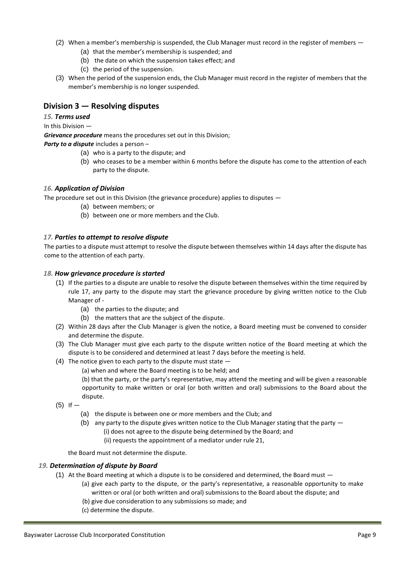- (2) When a member's membership is suspended, the Club Manager must record in the register of members
	- (a) that the member's membership is suspended; and
	- (b) the date on which the suspension takes effect; and
	- (c) the period of the suspension.
- (3) When the period of the suspension ends, the Club Manager must record in the register of members that the member's membership is no longer suspended.

## **Division 3 — Resolving disputes**

#### *15. Terms used*

#### In this Division —

*Grievance procedure* means the procedures set out in this Division;

*Party to a dispute* includes a person –

- (a) who is a party to the dispute; and
- (b) who ceases to be a member within 6 months before the dispute has come to the attention of each party to the dispute.

#### *16. Application of Division*

The procedure set out in this Division (the grievance procedure) applies to disputes —

- (a) between members; or
- (b) between one or more members and the Club.

#### *17. Parties to attempt to resolve dispute*

The parties to a dispute must attempt to resolve the dispute between themselves within 14 days after the dispute has come to the attention of each party.

#### *18. How grievance procedure is started*

- (1) If the parties to a dispute are unable to resolve the dispute between themselves within the time required by rule 17, any party to the dispute may start the grievance procedure by giving written notice to the Club Manager of -
	- (a) the parties to the dispute; and
	- (b) the matters that are the subject of the dispute.
- (2) Within 28 days after the Club Manager is given the notice, a Board meeting must be convened to consider and determine the dispute.
- (3) The Club Manager must give each party to the dispute written notice of the Board meeting at which the dispute is to be considered and determined at least 7 days before the meeting is held.
- (4) The notice given to each party to the dispute must state
	- (a) when and where the Board meeting is to be held; and

(b) that the party, or the party's representative, may attend the meeting and will be given a reasonable opportunity to make written or oral (or both written and oral) submissions to the Board about the dispute.

- $(5)$  If  $-$ 
	- (a) the dispute is between one or more members and the Club; and
	- (b) any party to the dispute gives written notice to the Club Manager stating that the party (i) does not agree to the dispute being determined by the Board; and
		- (ii) requests the appointment of a mediator under rule 21,

the Board must not determine the dispute.

#### *19. Determination of dispute by Board*

- (1) At the Board meeting at which a dispute is to be considered and determined, the Board must  $-$ 
	- (a) give each party to the dispute, or the party's representative, a reasonable opportunity to make written or oral (or both written and oral) submissions to the Board about the dispute; and
	- (b) give due consideration to any submissions so made; and
	- (c) determine the dispute.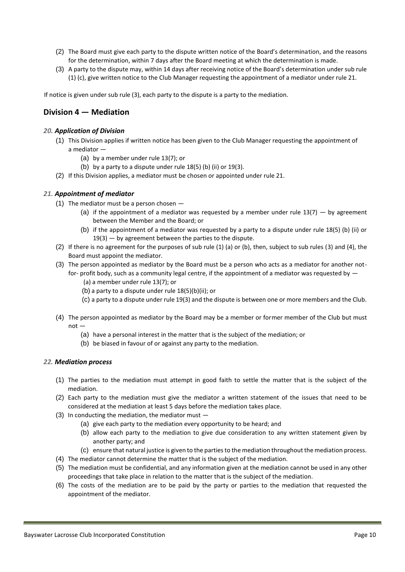- (2) The Board must give each party to the dispute written notice of the Board's determination, and the reasons for the determination, within 7 days after the Board meeting at which the determination is made.
- (3) A party to the dispute may, within 14 days after receiving notice of the Board's determination under sub rule (1) (c), give written notice to the Club Manager requesting the appointment of a mediator under rule 21.

If notice is given under sub rule (3), each party to the dispute is a party to the mediation.

## **Division 4 — Mediation**

#### *20. Application of Division*

- (1) This Division applies if written notice has been given to the Club Manager requesting the appointment of a mediator —
	- (a) by a member under rule 13(7); or
	- (b) by a party to a dispute under rule  $18(5)$  (b) (ii) or  $19(3)$ .
- (2) If this Division applies, a mediator must be chosen or appointed under rule 21.

#### *21. Appointment of mediator*

- (1) The mediator must be a person chosen
	- (a) if the appointment of a mediator was requested by a member under rule  $13(7)$  by agreement between the Member and the Board; or
	- (b) if the appointment of a mediator was requested by a party to a dispute under rule 18(5) (b) (ii) or 19(3) — by agreement between the parties to the dispute.
- (2) If there is no agreement for the purposes of sub rule (1) (a) or (b), then, subject to sub rules (3) and (4), the Board must appoint the mediator.
- (3) The person appointed as mediator by the Board must be a person who acts as a mediator for another notfor- profit body, such as a community legal centre, if the appointment of a mediator was requested by —
	- (a) a member under rule 13(7); or
	- (b) a party to a dispute under rule  $18(5)(b)(ii)$ ; or
	- (c) a party to a dispute under rule 19(3) and the dispute is between one or more members and the Club.
- (4) The person appointed as mediator by the Board may be a member or former member of the Club but must not —
	- (a) have a personal interest in the matter that is the subject of the mediation; or
	- (b) be biased in favour of or against any party to the mediation.

#### *22. Mediation process*

- (1) The parties to the mediation must attempt in good faith to settle the matter that is the subject of the mediation.
- (2) Each party to the mediation must give the mediator a written statement of the issues that need to be considered at the mediation at least 5 days before the mediation takes place.
- (3) In conducting the mediation, the mediator must  $-$ 
	- (a) give each party to the mediation every opportunity to be heard; and
	- (b) allow each party to the mediation to give due consideration to any written statement given by another party; and
	- (c) ensure that natural justice is given to the parties to the mediation throughout the mediation process.
- (4) The mediator cannot determine the matter that is the subject of the mediation.
- (5) The mediation must be confidential, and any information given at the mediation cannot be used in any other proceedings that take place in relation to the matter that is the subject of the mediation.
- (6) The costs of the mediation are to be paid by the party or parties to the mediation that requested the appointment of the mediator.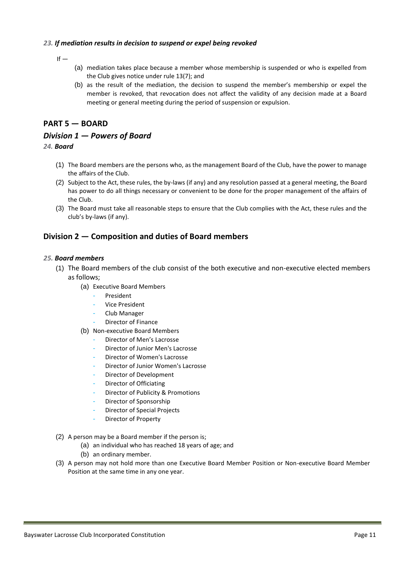#### *23. If mediation results in decision to suspend or expel being revoked*

 $If -$ 

- (a) mediation takes place because a member whose membership is suspended or who is expelled from the Club gives notice under rule 13(7); and
- (b) as the result of the mediation, the decision to suspend the member's membership or expel the member is revoked, that revocation does not affect the validity of any decision made at a Board meeting or general meeting during the period of suspension or expulsion.

## **PART 5 — BOARD**

## *Division 1 — Powers of Board*

#### *24. Board*

- (1) The Board members are the persons who, as the management Board of the Club, have the power to manage the affairs of the Club.
- (2) Subject to the Act, these rules, the by-laws (if any) and any resolution passed at a general meeting, the Board has power to do all things necessary or convenient to be done for the proper management of the affairs of the Club.
- (3) The Board must take all reasonable steps to ensure that the Club complies with the Act, these rules and the club's by-laws (if any).

## **Division 2 — Composition and duties of Board members**

#### *25. Board members*

- (1) The Board members of the club consist of the both executive and non-executive elected members as follows;
	- (a) Executive Board Members
		- **President**
		- Vice President
		- Club Manager
		- Director of Finance
	- (b) Non-executive Board Members
		- Director of Men's Lacrosse
		- Director of Junior Men's Lacrosse
		- Director of Women's Lacrosse
		- Director of Junior Women's Lacrosse
		- Director of Development
		- Director of Officiating
		- Director of Publicity & Promotions
		- Director of Sponsorship
		- Director of Special Projects
		- Director of Property
- (2) A person may be a Board member if the person is;
	- (a) an individual who has reached 18 years of age; and
	- (b) an ordinary member.
- (3) A person may not hold more than one Executive Board Member Position or Non-executive Board Member Position at the same time in any one year.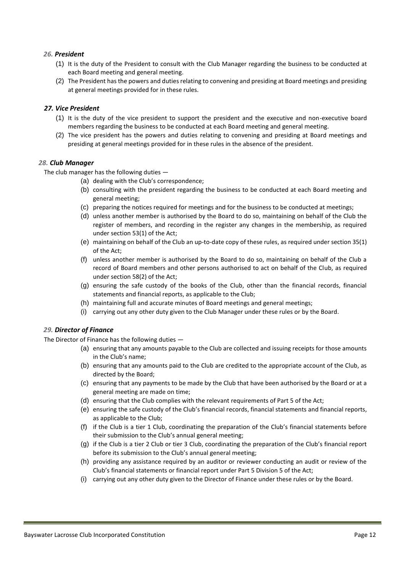#### *26. President*

- (1) It is the duty of the President to consult with the Club Manager regarding the business to be conducted at each Board meeting and general meeting.
- (2) The President has the powers and duties relating to convening and presiding at Board meetings and presiding at general meetings provided for in these rules.

#### *27. Vice President*

- (1) It is the duty of the vice president to support the president and the executive and non-executive board members regarding the business to be conducted at each Board meeting and general meeting.
- (2) The vice president has the powers and duties relating to convening and presiding at Board meetings and presiding at general meetings provided for in these rules in the absence of the president.

#### *28. Club Manager*

The club manager has the following duties —

- (a) dealing with the Club's correspondence;
- (b) consulting with the president regarding the business to be conducted at each Board meeting and general meeting;
- (c) preparing the notices required for meetings and for the business to be conducted at meetings;
- (d) unless another member is authorised by the Board to do so, maintaining on behalf of the Club the register of members, and recording in the register any changes in the membership, as required under section 53(1) of the Act;
- (e) maintaining on behalf of the Club an up-to-date copy of these rules, as required under section 35(1) of the Act;
- (f) unless another member is authorised by the Board to do so, maintaining on behalf of the Club a record of Board members and other persons authorised to act on behalf of the Club, as required under section 58(2) of the Act;
- (g) ensuring the safe custody of the books of the Club, other than the financial records, financial statements and financial reports, as applicable to the Club;
- (h) maintaining full and accurate minutes of Board meetings and general meetings;
- (i) carrying out any other duty given to the Club Manager under these rules or by the Board.

#### *29. Director of Finance*

The Director of Finance has the following duties —

- (a) ensuring that any amounts payable to the Club are collected and issuing receipts for those amounts in the Club's name;
- (b) ensuring that any amounts paid to the Club are credited to the appropriate account of the Club, as directed by the Board;
- (c) ensuring that any payments to be made by the Club that have been authorised by the Board or at a general meeting are made on time;
- (d) ensuring that the Club complies with the relevant requirements of Part 5 of the Act;
- (e) ensuring the safe custody of the Club's financial records, financial statements and financial reports, as applicable to the Club;
- (f) if the Club is a tier 1 Club, coordinating the preparation of the Club's financial statements before their submission to the Club's annual general meeting;
- (g) if the Club is a tier 2 Club or tier 3 Club, coordinating the preparation of the Club's financial report before its submission to the Club's annual general meeting;
- (h) providing any assistance required by an auditor or reviewer conducting an audit or review of the Club's financial statements or financial report under Part 5 Division 5 of the Act;
- (i) carrying out any other duty given to the Director of Finance under these rules or by the Board.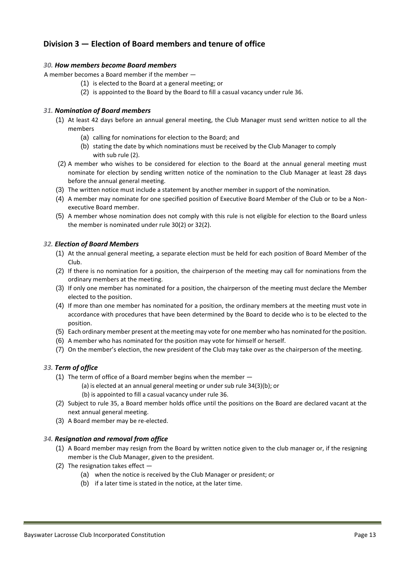## **Division 3 — Election of Board members and tenure of office**

#### *30. How members become Board members*

A member becomes a Board member if the member —

- (1) is elected to the Board at a general meeting; or
- (2) is appointed to the Board by the Board to fill a casual vacancy under rule 36.

#### *31. Nomination of Board members*

- (1) At least 42 days before an annual general meeting, the Club Manager must send written notice to all the members
	- (a) calling for nominations for election to the Board; and
	- (b) stating the date by which nominations must be received by the Club Manager to comply with sub rule (2).
- (2) A member who wishes to be considered for election to the Board at the annual general meeting must nominate for election by sending written notice of the nomination to the Club Manager at least 28 days before the annual general meeting.
- (3) The written notice must include a statement by another member in support of the nomination.
- (4) A member may nominate for one specified position of Executive Board Member of the Club or to be a Nonexecutive Board member.
- (5) A member whose nomination does not comply with this rule is not eligible for election to the Board unless the member is nominated under rule 30(2) or 32(2).

#### *32. Election of Board Members*

- (1) At the annual general meeting, a separate election must be held for each position of Board Member of the Club.
- (2) If there is no nomination for a position, the chairperson of the meeting may call for nominations from the ordinary members at the meeting.
- (3) If only one member has nominated for a position, the chairperson of the meeting must declare the Member elected to the position.
- (4) If more than one member has nominated for a position, the ordinary members at the meeting must vote in accordance with procedures that have been determined by the Board to decide who is to be elected to the position.
- (5) Each ordinary member present at the meeting may vote for one member who has nominated for the position.
- (6) A member who has nominated for the position may vote for himself or herself.
- (7) On the member's election, the new president of the Club may take over as the chairperson of the meeting.

#### *33. Term of office*

- (1) The term of office of a Board member begins when the member
	- (a) is elected at an annual general meeting or under sub rule 34(3)(b); or
	- (b) is appointed to fill a casual vacancy under rule 36.
- (2) Subject to rule 35, a Board member holds office until the positions on the Board are declared vacant at the next annual general meeting.
- (3) A Board member may be re-elected.

#### *34. Resignation and removal from office*

- (1) A Board member may resign from the Board by written notice given to the club manager or, if the resigning member is the Club Manager, given to the president.
- (2) The resignation takes effect
	- (a) when the notice is received by the Club Manager or president; or
		- (b) if a later time is stated in the notice, at the later time.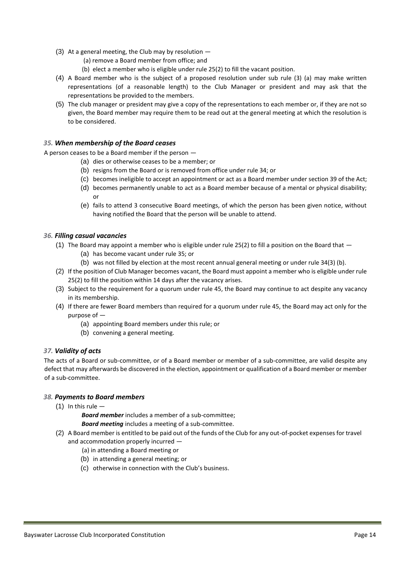- (3) At a general meeting, the Club may by resolution
	- (a) remove a Board member from office; and
	- (b) elect a member who is eligible under rule 25(2) to fill the vacant position.
- (4) A Board member who is the subject of a proposed resolution under sub rule (3) (a) may make written representations (of a reasonable length) to the Club Manager or president and may ask that the representations be provided to the members.
- (5) The club manager or president may give a copy of the representations to each member or, if they are not so given, the Board member may require them to be read out at the general meeting at which the resolution is to be considered.

#### *35. When membership of the Board ceases*

A person ceases to be a Board member if the person —

- (a) dies or otherwise ceases to be a member; or
- (b) resigns from the Board or is removed from office under rule 34; or
- (c) becomes ineligible to accept an appointment or act as a Board member under section 39 of the Act;
- (d) becomes permanently unable to act as a Board member because of a mental or physical disability; or
- (e) fails to attend 3 consecutive Board meetings, of which the person has been given notice, without having notified the Board that the person will be unable to attend.

#### *36. Filling casual vacancies*

- (1) The Board may appoint a member who is eligible under rule 25(2) to fill a position on the Board that  $-$ 
	- (a) has become vacant under rule 35; or
	- (b) was not filled by election at the most recent annual general meeting or under rule 34(3) (b).
- (2) If the position of Club Manager becomes vacant, the Board must appoint a member who is eligible under rule 25(2) to fill the position within 14 days after the vacancy arises.
- (3) Subject to the requirement for a quorum under rule 45, the Board may continue to act despite any vacancy in its membership.
- (4) If there are fewer Board members than required for a quorum under rule 45, the Board may act only for the purpose of —
	- (a) appointing Board members under this rule; or
	- (b) convening a general meeting.

#### *37. Validity of acts*

The acts of a Board or sub-committee, or of a Board member or member of a sub-committee, are valid despite any defect that may afterwards be discovered in the election, appointment or qualification of a Board member or member of a sub-committee.

#### *38. Payments to Board members*

 $(1)$  In this rule  $-$ 

*Board member* includes a member of a sub-committee;

*Board meeting* includes a meeting of a sub-committee.

- (2) A Board member is entitled to be paid out of the funds of the Club for any out-of-pocket expenses for travel and accommodation properly incurred —
	- (a) in attending a Board meeting or
	- (b) in attending a general meeting; or
	- (c) otherwise in connection with the Club's business.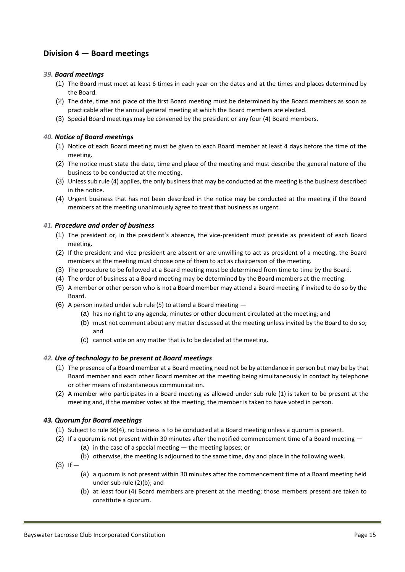## **Division 4 — Board meetings**

#### *39. Board meetings*

- (1) The Board must meet at least 6 times in each year on the dates and at the times and places determined by the Board.
- (2) The date, time and place of the first Board meeting must be determined by the Board members as soon as practicable after the annual general meeting at which the Board members are elected.
- (3) Special Board meetings may be convened by the president or any four (4) Board members.

#### *40. Notice of Board meetings*

- (1) Notice of each Board meeting must be given to each Board member at least 4 days before the time of the meeting.
- (2) The notice must state the date, time and place of the meeting and must describe the general nature of the business to be conducted at the meeting.
- (3) Unless sub rule (4) applies, the only business that may be conducted at the meeting is the business described in the notice.
- (4) Urgent business that has not been described in the notice may be conducted at the meeting if the Board members at the meeting unanimously agree to treat that business as urgent.

#### *41. Procedure and order of business*

- (1) The president or, in the president's absence, the vice-president must preside as president of each Board meeting.
- (2) If the president and vice president are absent or are unwilling to act as president of a meeting, the Board members at the meeting must choose one of them to act as chairperson of the meeting.
- (3) The procedure to be followed at a Board meeting must be determined from time to time by the Board.
- (4) The order of business at a Board meeting may be determined by the Board members at the meeting.
- (5) A member or other person who is not a Board member may attend a Board meeting if invited to do so by the Board.
- (6) A person invited under sub rule (5) to attend a Board meeting
	- (a) has no right to any agenda, minutes or other document circulated at the meeting; and
	- (b) must not comment about any matter discussed at the meeting unless invited by the Board to do so; and
	- (c) cannot vote on any matter that is to be decided at the meeting.

#### *42. Use of technology to be present at Board meetings*

- (1) The presence of a Board member at a Board meeting need not be by attendance in person but may be by that Board member and each other Board member at the meeting being simultaneously in contact by telephone or other means of instantaneous communication.
- (2) A member who participates in a Board meeting as allowed under sub rule (1) is taken to be present at the meeting and, if the member votes at the meeting, the member is taken to have voted in person.

#### *43. Quorum for Board meetings*

- (1) Subject to rule 36(4), no business is to be conducted at a Board meeting unless a quorum is present.
- (2) If a quorum is not present within 30 minutes after the notified commencement time of a Board meeting (a) in the case of a special meeting — the meeting lapses; or
	- (b) otherwise, the meeting is adjourned to the same time, day and place in the following week.
- $(3)$  If  $-$ 
	- (a) a quorum is not present within 30 minutes after the commencement time of a Board meeting held under sub rule (2)(b); and
	- (b) at least four (4) Board members are present at the meeting; those members present are taken to constitute a quorum.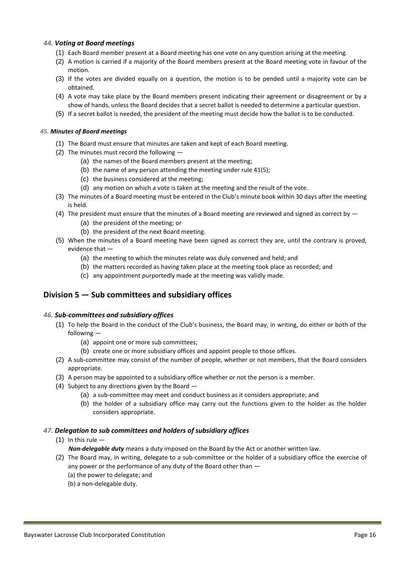#### *44. Voting at Board meetings*

- (1) Each Board member present at a Board meeting has one vote on any question arising at the meeting.
- (2) A motion is carried if a majority of the Board members present at the Board meeting vote in favour of the motion.
- (3) If the votes are divided equally on a question, the motion is to be pended until a majority vote can be obtained.
- (4) A vote may take place by the Board members present indicating their agreement or disagreement or by a show of hands, unless the Board decides that a secret ballot is needed to determine a particular question.
- (5) If a secret ballot is needed, the president of the meeting must decide how the ballot is to be conducted.

#### *45. Minutes of Board meetings*

- (1) The Board must ensure that minutes are taken and kept of each Board meeting.
- (2) The minutes must record the following
	- (a) the names of the Board members present at the meeting;
	- (b) the name of any person attending the meeting under rule 41(5);
	- (c) the business considered at the meeting;
	- (d) any motion on which a vote is taken at the meeting and the result of the vote.
- (3) The minutes of a Board meeting must be entered in the Club's minute book within 30 days after the meeting is held.
- (4) The president must ensure that the minutes of a Board meeting are reviewed and signed as correct by  $-$ 
	- (a) the president of the meeting; or
	- (b) the president of the next Board meeting.
- (5) When the minutes of a Board meeting have been signed as correct they are, until the contrary is proved, evidence that —
	- (a) the meeting to which the minutes relate was duly convened and held; and
	- (b) the matters recorded as having taken place at the meeting took place as recorded; and
	- (c) any appointment purportedly made at the meeting was validly made.

## **Division 5 — Sub committees and subsidiary offices**

#### *46. Sub-committees and subsidiary offices*

- (1) To help the Board in the conduct of the Club's business, the Board may, in writing, do either or both of the following —
	- (a) appoint one or more sub committees;
	- (b) create one or more subsidiary offices and appoint people to those offices.
- (2) A sub-committee may consist of the number of people, whether or not members, that the Board considers appropriate.
- (3) A person may be appointed to a subsidiary office whether or not the person is a member.
- (4) Subject to any directions given by the Board
	- (a) a sub-committee may meet and conduct business as it considers appropriate; and
	- (b) the holder of a subsidiary office may carry out the functions given to the holder as the holder considers appropriate.

#### *47. Delegation to sub committees and holders of subsidiary offices*

#### $(1)$  In this rule  $-$

- *Non-delegable duty* means a duty imposed on the Board by the Act or another written law.
- (2) The Board may, in writing, delegate to a sub-committee or the holder of a subsidiary office the exercise of any power or the performance of any duty of the Board other than — (a) the power to delegate; and
	- (b) a non-delegable duty.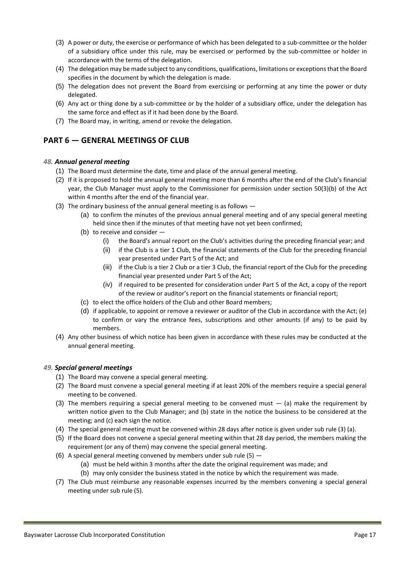- (3) A power or duty, the exercise or performance of which has been delegated to a sub-committee or the holder of a subsidiary office under this rule, may be exercised or performed by the sub-committee or holder in accordance with the terms of the delegation.
- (4) The delegation may be made subject to any conditions, qualifications, limitations or exceptions that the Board specifies in the document by which the delegation is made.
- (5) The delegation does not prevent the Board from exercising or performing at any time the power or duty delegated.
- (6) Any act or thing done by a sub-committee or by the holder of a subsidiary office, under the delegation has the same force and effect as if it had been done by the Board.
- (7) The Board may, in writing, amend or revoke the delegation.

## **PART 6 — GENERAL MEETINGS OF CLUB**

#### *48. Annual general meeting*

- (1) The Board must determine the date, time and place of the annual general meeting.
- (2) If it is proposed to hold the annual general meeting more than 6 months after the end of the Club's financial year, the Club Manager must apply to the Commissioner for permission under section 50(3)(b) of the Act within 4 months after the end of the financial year.
- (3) The ordinary business of the annual general meeting is as follows
	- (a) to confirm the minutes of the previous annual general meeting and of any special general meeting held since then if the minutes of that meeting have not yet been confirmed;
	- (b) to receive and consider
		- (i) the Board's annual report on the Club's activities during the preceding financial year; and
		- (ii) if the Club is a tier 1 Club, the financial statements of the Club for the preceding financial year presented under Part 5 of the Act; and
		- (iii) if the Club is a tier 2 Club or a tier 3 Club, the financial report of the Club for the preceding financial year presented under Part 5 of the Act;
		- (iv) if required to be presented for consideration under Part 5 of the Act, a copy of the report of the review or auditor's report on the financial statements or financial report;
	- (c) to elect the office holders of the Club and other Board members;
	- (d) if applicable, to appoint or remove a reviewer or auditor of the Club in accordance with the Act; (e) to confirm or vary the entrance fees, subscriptions and other amounts (if any) to be paid by members.
- (4) Any other business of which notice has been given in accordance with these rules may be conducted at the annual general meeting.

## *49. Special general meetings*

- (1) The Board may convene a special general meeting.
- (2) The Board must convene a special general meeting if at least 20% of the members require a special general meeting to be convened.
- (3) The members requiring a special general meeting to be convened must  $-$  (a) make the requirement by written notice given to the Club Manager; and (b) state in the notice the business to be considered at the meeting; and (c) each sign the notice.
- (4) The special general meeting must be convened within 28 days after notice is given under sub rule (3) (a).
- (5) If the Board does not convene a special general meeting within that 28 day period, the members making the requirement (or any of them) may convene the special general meeting.
- (6) A special general meeting convened by members under sub rule (5)  $-$ 
	- (a) must be held within 3 months after the date the original requirement was made; and
	- (b) may only consider the business stated in the notice by which the requirement was made.
- (7) The Club must reimburse any reasonable expenses incurred by the members convening a special general meeting under sub rule (5).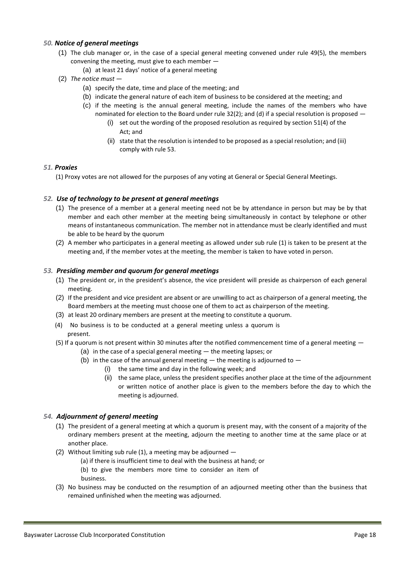#### *50. Notice of general meetings*

- (1) The club manager or, in the case of a special general meeting convened under rule 49(5), the members convening the meeting, must give to each member —
	- (a) at least 21 days' notice of a general meeting
- (2) *The notice must*
	- (a) specify the date, time and place of the meeting; and
	- (b) indicate the general nature of each item of business to be considered at the meeting; and
	- (c) if the meeting is the annual general meeting, include the names of the members who have nominated for election to the Board under rule 32(2); and (d) if a special resolution is proposed -
		- (i) set out the wording of the proposed resolution as required by section 51(4) of the Act; and
		- (ii) state that the resolution is intended to be proposed as a special resolution; and (iii) comply with rule 53.

#### *51. Proxies*

(1) Proxy votes are not allowed for the purposes of any voting at General or Special General Meetings.

#### *52. Use of technology to be present at general meetings*

- (1) The presence of a member at a general meeting need not be by attendance in person but may be by that member and each other member at the meeting being simultaneously in contact by telephone or other means of instantaneous communication. The member not in attendance must be clearly identified and must be able to be heard by the quorum
- (2) A member who participates in a general meeting as allowed under sub rule (1) is taken to be present at the meeting and, if the member votes at the meeting, the member is taken to have voted in person.

#### *53. Presiding member and quorum for general meetings*

- (1) The president or, in the president's absence, the vice president will preside as chairperson of each general meeting.
- (2) If the president and vice president are absent or are unwilling to act as chairperson of a general meeting, the Board members at the meeting must choose one of them to act as chairperson of the meeting.
- (3) at least 20 ordinary members are present at the meeting to constitute a quorum.
- (4) No business is to be conducted at a general meeting unless a quorum is present.
- (5) If a quorum is not present within 30 minutes after the notified commencement time of a general meeting
	- (a) in the case of a special general meeting the meeting lapses; or
	- (b) in the case of the annual general meeting  $-$  the meeting is adjourned to  $-$ 
		- (i) the same time and day in the following week; and
		- (ii) the same place, unless the president specifies another place at the time of the adjournment or written notice of another place is given to the members before the day to which the meeting is adjourned.

#### *54. Adjournment of general meeting*

- (1) The president of a general meeting at which a quorum is present may, with the consent of a majority of the ordinary members present at the meeting, adjourn the meeting to another time at the same place or at another place.
- (2) Without limiting sub rule (1), a meeting may be adjourned  $-$ 
	- (a) if there is insufficient time to deal with the business at hand; or
	- (b) to give the members more time to consider an item of
	- business.
- (3) No business may be conducted on the resumption of an adjourned meeting other than the business that remained unfinished when the meeting was adjourned.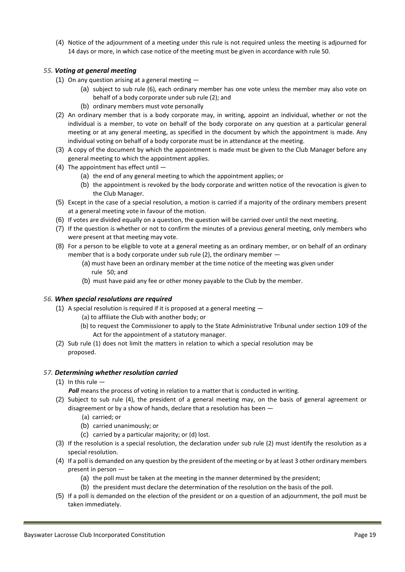(4) Notice of the adjournment of a meeting under this rule is not required unless the meeting is adjourned for 14 days or more, in which case notice of the meeting must be given in accordance with rule 50.

#### *55. Voting at general meeting*

- (1) On any question arising at a general meeting  $-$ 
	- (a) subject to sub rule (6), each ordinary member has one vote unless the member may also vote on behalf of a body corporate under sub rule (2); and
	- (b) ordinary members must vote personally
- (2) An ordinary member that is a body corporate may, in writing, appoint an individual, whether or not the individual is a member, to vote on behalf of the body corporate on any question at a particular general meeting or at any general meeting, as specified in the document by which the appointment is made. Any individual voting on behalf of a body corporate must be in attendance at the meeting.
- (3) A copy of the document by which the appointment is made must be given to the Club Manager before any general meeting to which the appointment applies.
- (4) The appointment has effect until
	- (a) the end of any general meeting to which the appointment applies; or
	- (b) the appointment is revoked by the body corporate and written notice of the revocation is given to the Club Manager.
- (5) Except in the case of a special resolution, a motion is carried if a majority of the ordinary members present at a general meeting vote in favour of the motion.
- (6) If votes are divided equally on a question, the question will be carried over until the next meeting.
- (7) If the question is whether or not to confirm the minutes of a previous general meeting, only members who were present at that meeting may vote.
- (8) For a person to be eligible to vote at a general meeting as an ordinary member, or on behalf of an ordinary member that is a body corporate under sub rule (2), the ordinary member —
	- (a) must have been an ordinary member at the time notice of the meeting was given under rule 50; and
	- (b) must have paid any fee or other money payable to the Club by the member.

#### *56. When special resolutions are required*

- (1) A special resolution is required if it is proposed at a general meeting
	- (a) to affiliate the Club with another body; or
	- (b) to request the Commissioner to apply to the State Administrative Tribunal under section 109 of the Act for the appointment of a statutory manager.
- (2) Sub rule (1) does not limit the matters in relation to which a special resolution may be proposed.

#### *57. Determining whether resolution carried*

- (1) In this rule  $-$ 
	- **Poll** means the process of voting in relation to a matter that is conducted in writing.
- (2) Subject to sub rule (4), the president of a general meeting may, on the basis of general agreement or disagreement or by a show of hands, declare that a resolution has been —
	- (a) carried; or
	- (b) carried unanimously; or
	- (c) carried by a particular majority; or (d) lost.
- (3) If the resolution is a special resolution, the declaration under sub rule (2) must identify the resolution as a special resolution.
- (4) If a poll is demanded on any question by the president of the meeting or by at least 3 other ordinary members present in person —
	- (a) the poll must be taken at the meeting in the manner determined by the president;
	- (b) the president must declare the determination of the resolution on the basis of the poll.
- (5) If a poll is demanded on the election of the president or on a question of an adjournment, the poll must be taken immediately.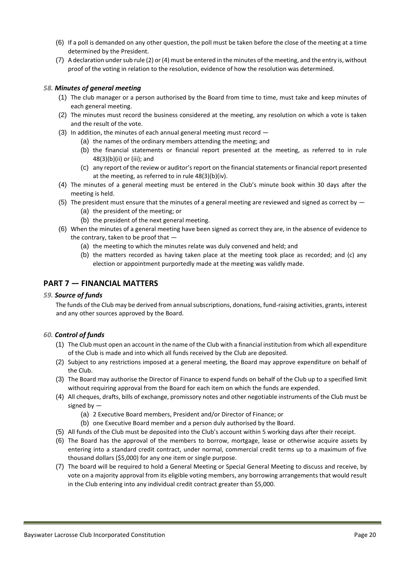- (6) If a poll is demanded on any other question, the poll must be taken before the close of the meeting at a time determined by the President.
- (7) A declaration under sub rule (2) or (4) must be entered in the minutes of the meeting, and the entry is, without proof of the voting in relation to the resolution, evidence of how the resolution was determined.

#### *58. Minutes of general meeting*

- (1) The club manager or a person authorised by the Board from time to time, must take and keep minutes of each general meeting.
- (2) The minutes must record the business considered at the meeting, any resolution on which a vote is taken and the result of the vote.
- (3) In addition, the minutes of each annual general meeting must record
	- (a) the names of the ordinary members attending the meeting; and
	- (b) the financial statements or financial report presented at the meeting, as referred to in rule 48(3)(b)(ii) or (iii); and
	- (c) any report of the review or auditor's report on the financial statements or financial report presented at the meeting, as referred to in rule 48(3)(b)(iv).
- (4) The minutes of a general meeting must be entered in the Club's minute book within 30 days after the meeting is held.
- (5) The president must ensure that the minutes of a general meeting are reviewed and signed as correct by  $-$ 
	- (a) the president of the meeting; or
	- (b) the president of the next general meeting.
- (6) When the minutes of a general meeting have been signed as correct they are, in the absence of evidence to the contrary, taken to be proof that —
	- (a) the meeting to which the minutes relate was duly convened and held; and
	- (b) the matters recorded as having taken place at the meeting took place as recorded; and (c) any election or appointment purportedly made at the meeting was validly made.

#### **PART 7 — FINANCIAL MATTERS**

#### *59. Source of funds*

The funds of the Club may be derived from annual subscriptions, donations, fund-raising activities, grants, interest and any other sources approved by the Board.

#### *60. Control of funds*

- (1) The Club must open an account in the name of the Club with a financial institution from which all expenditure of the Club is made and into which all funds received by the Club are deposited.
- (2) Subject to any restrictions imposed at a general meeting, the Board may approve expenditure on behalf of the Club.
- (3) The Board may authorise the Director of Finance to expend funds on behalf of the Club up to a specified limit without requiring approval from the Board for each item on which the funds are expended.
- (4) All cheques, drafts, bills of exchange, promissory notes and other negotiable instruments of the Club must be signed by —
	- (a) 2 Executive Board members, President and/or Director of Finance; or
	- (b) one Executive Board member and a person duly authorised by the Board.
- (5) All funds of the Club must be deposited into the Club's account within 5 working days after their receipt.
- (6) The Board has the approval of the members to borrow, mortgage, lease or otherwise acquire assets by entering into a standard credit contract, under normal, commercial credit terms up to a maximum of five thousand dollars (\$5,000) for any one item or single purpose.
- (7) The board will be required to hold a General Meeting or Special General Meeting to discuss and receive, by vote on a majority approval from its eligible voting members, any borrowing arrangements that would result in the Club entering into any individual credit contract greater than \$5,000.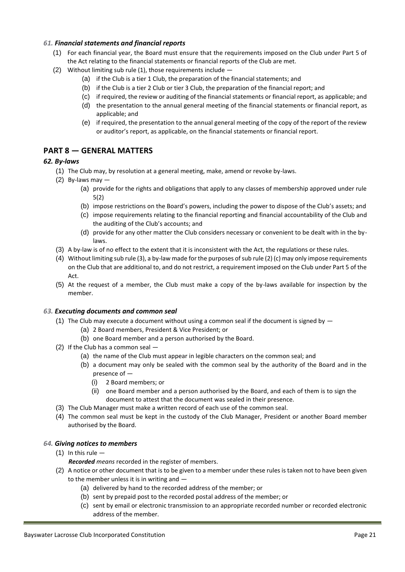#### *61. Financial statements and financial reports*

- (1) For each financial year, the Board must ensure that the requirements imposed on the Club under Part 5 of the Act relating to the financial statements or financial reports of the Club are met.
- (2) Without limiting sub rule (1), those requirements include
	- (a) if the Club is a tier 1 Club, the preparation of the financial statements; and
	- (b) if the Club is a tier 2 Club or tier 3 Club, the preparation of the financial report; and
	- (c) if required, the review or auditing of the financial statements or financial report, as applicable; and
	- (d) the presentation to the annual general meeting of the financial statements or financial report, as applicable; and
	- (e) if required, the presentation to the annual general meeting of the copy of the report of the review or auditor's report, as applicable, on the financial statements or financial report.

## **PART 8 — GENERAL MATTERS**

#### *62. By-laws*

- (1) The Club may, by resolution at a general meeting, make, amend or revoke by-laws.
- $(2)$  By-laws may  $-$ 
	- (a) provide for the rights and obligations that apply to any classes of membership approved under rule 5(2)
	- (b) impose restrictions on the Board's powers, including the power to dispose of the Club's assets; and
	- (c) impose requirements relating to the financial reporting and financial accountability of the Club and the auditing of the Club's accounts; and
	- (d) provide for any other matter the Club considers necessary or convenient to be dealt with in the bylaws.
- (3) A by-law is of no effect to the extent that it is inconsistent with the Act, the regulations or these rules.
- (4) Without limiting sub rule (3), a by-law made for the purposes of sub rule (2) (c) may only impose requirements on the Club that are additional to, and do not restrict, a requirement imposed on the Club under Part 5 of the Act.
- (5) At the request of a member, the Club must make a copy of the by-laws available for inspection by the member.

#### *63. Executing documents and common seal*

- (1) The Club may execute a document without using a common seal if the document is signed by  $-$ 
	- (a) 2 Board members, President & Vice President; or
		- (b) one Board member and a person authorised by the Board.
- (2) If the Club has a common seal
	- (a) the name of the Club must appear in legible characters on the common seal; and
	- (b) a document may only be sealed with the common seal by the authority of the Board and in the presence of —
		- (i) 2 Board members; or
		- (ii) one Board member and a person authorised by the Board, and each of them is to sign the document to attest that the document was sealed in their presence.
- (3) The Club Manager must make a written record of each use of the common seal.
- (4) The common seal must be kept in the custody of the Club Manager, President or another Board member authorised by the Board.

#### *64. Giving notices to members*

- $(1)$  In this rule  $-$ 
	- *Recorded means* recorded in the register of members.
- (2) A notice or other document that is to be given to a member under these rules is taken not to have been given to the member unless it is in writing and —
	- (a) delivered by hand to the recorded address of the member; or
	- (b) sent by prepaid post to the recorded postal address of the member; or
	- (c) sent by email or electronic transmission to an appropriate recorded number or recorded electronic address of the member.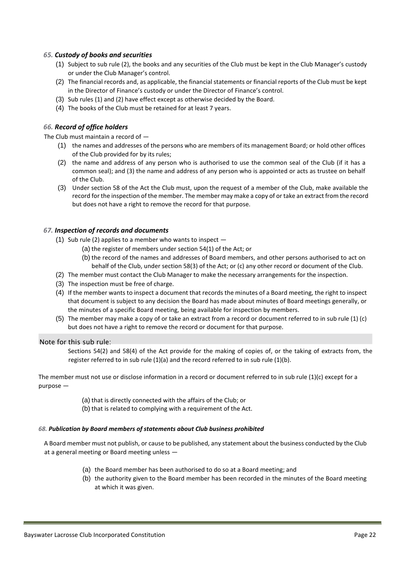#### *65. Custody of books and securities*

- (1) Subject to sub rule (2), the books and any securities of the Club must be kept in the Club Manager's custody or under the Club Manager's control.
- (2) The financial records and, as applicable, the financial statements or financial reports of the Club must be kept in the Director of Finance's custody or under the Director of Finance's control.
- (3) Sub rules (1) and (2) have effect except as otherwise decided by the Board.
- (4) The books of the Club must be retained for at least 7 years.

#### *66. Record of office holders*

The Club must maintain a record of —

- (1) the names and addresses of the persons who are members of its management Board; or hold other offices of the Club provided for by its rules;
- (2) the name and address of any person who is authorised to use the common seal of the Club (if it has a common seal); and (3) the name and address of any person who is appointed or acts as trustee on behalf of the Club.
- (3) Under section 58 of the Act the Club must, upon the request of a member of the Club, make available the record for the inspection of the member. The member may make a copy of or take an extract from the record but does not have a right to remove the record for that purpose.

#### *67. Inspection of records and documents*

- (1) Sub rule (2) applies to a member who wants to inspect  $-$ 
	- (a) the register of members under section 54(1) of the Act; or
	- (b) the record of the names and addresses of Board members, and other persons authorised to act on behalf of the Club, under section 58(3) of the Act; or (c) any other record or document of the Club.
- (2) The member must contact the Club Manager to make the necessary arrangements for the inspection.
- (3) The inspection must be free of charge.
- (4) If the member wants to inspect a document that records the minutes of a Board meeting, the right to inspect that document is subject to any decision the Board has made about minutes of Board meetings generally, or the minutes of a specific Board meeting, being available for inspection by members.
- (5) The member may make a copy of or take an extract from a record or document referred to in sub rule (1) (c) but does not have a right to remove the record or document for that purpose.

#### Note for this sub rule:

Sections 54(2) and 58(4) of the Act provide for the making of copies of, or the taking of extracts from, the register referred to in sub rule (1)(a) and the record referred to in sub rule (1)(b).

The member must not use or disclose information in a record or document referred to in sub rule (1)(c) except for a purpose —

- (a) that is directly connected with the affairs of the Club; or
- (b) that is related to complying with a requirement of the Act.

#### *68. Publication by Board members of statements about Club business prohibited*

A Board member must not publish, or cause to be published, any statement about the business conducted by the Club at a general meeting or Board meeting unless —

- (a) the Board member has been authorised to do so at a Board meeting; and
- (b) the authority given to the Board member has been recorded in the minutes of the Board meeting at which it was given.